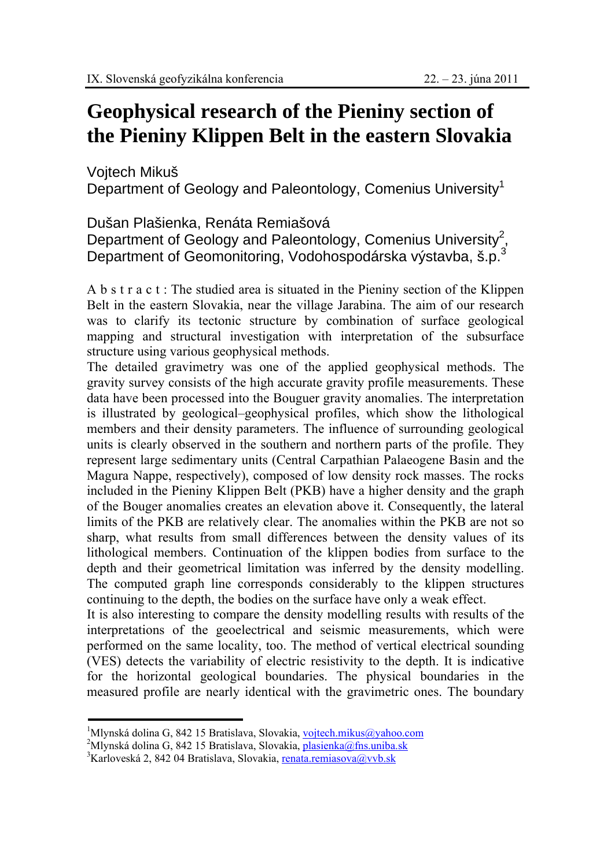## **Geophysical research of the Pieniny section of the Pieniny Klippen Belt in the eastern Slovakia**

Vojtech Mikuš

Department of Geology and Paleontology, Comenius University<sup>1</sup>

Dušan Plašienka, Renáta Remiašová

Department of Geology and Paleontology, Comenius University<sup>2</sup>, Department of Geomonitoring, Vodohospodárska výstavba, š.p.3

A b s t r a c t : The studied area is situated in the Pieniny section of the Klippen Belt in the eastern Slovakia, near the village Jarabina. The aim of our research was to clarify its tectonic structure by combination of surface geological mapping and structural investigation with interpretation of the subsurface structure using various geophysical methods.

The detailed gravimetry was one of the applied geophysical methods. The gravity survey consists of the high accurate gravity profile measurements. These data have been processed into the Bouguer gravity anomalies. The interpretation is illustrated by geological–geophysical profiles, which show the lithological members and their density parameters. The influence of surrounding geological units is clearly observed in the southern and northern parts of the profile. They represent large sedimentary units (Central Carpathian Palaeogene Basin and the Magura Nappe, respectively), composed of low density rock masses. The rocks included in the Pieniny Klippen Belt (PKB) have a higher density and the graph of the Bouger anomalies creates an elevation above it. Consequently, the lateral limits of the PKB are relatively clear. The anomalies within the PKB are not so sharp, what results from small differences between the density values of its lithological members. Continuation of the klippen bodies from surface to the depth and their geometrical limitation was inferred by the density modelling. The computed graph line corresponds considerably to the klippen structures continuing to the depth, the bodies on the surface have only a weak effect.

It is also interesting to compare the density modelling results with results of the interpretations of the geoelectrical and seismic measurements, which were performed on the same locality, too. The method of vertical electrical sounding (VES) detects the variability of electric resistivity to the depth. It is indicative for the horizontal geological boundaries. The physical boundaries in the measured profile are nearly identical with the gravimetric ones. The boundary

<sup>&</sup>lt;sup>1</sup>Mlynská dolina G, 842 15 Bratislava, Slovakia, <u>vojtech.mikus@yahoo.com</u><br><sup>2</sup>Mlynská dolina G, 842 15 Bratislava, Slovakia, plasianka@fas.uniba.sk

<sup>&</sup>lt;sup>2</sup>Mlynská dolina G, 842 15 Bratislava, Slovakia, **plasienka@fns.uniba.sk** 

<sup>&</sup>lt;sup>3</sup>Karloveská 2, 842 04 Bratislava, Slovakia, renata.remiasova@vvb.sk